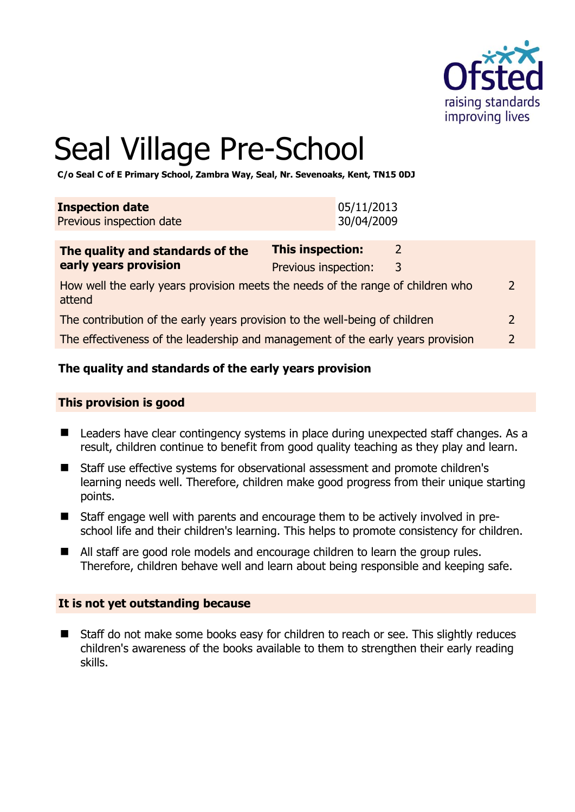

# Seal Village Pre-School

**C/o Seal C of E Primary School, Zambra Way, Seal, Nr. Sevenoaks, Kent, TN15 0DJ** 

| 05/11/2013<br>30/04/2009 | The quality and standards of the                   | This inspection: |  |
|--------------------------|----------------------------------------------------|------------------|--|
|                          | <b>Inspection date</b><br>Previous inspection date |                  |  |

| <b>THE GUARGEY AND SCANDATUS OF LITE</b>                                                  |                      |    |               |
|-------------------------------------------------------------------------------------------|----------------------|----|---------------|
| early years provision                                                                     | Previous inspection: | -3 |               |
| How well the early years provision meets the needs of the range of children who<br>attend |                      |    | $\mathcal{P}$ |
| The contribution of the early years provision to the well-being of children               |                      |    |               |

The effectiveness of the leadership and management of the early years provision 2

# **The quality and standards of the early years provision**

#### **This provision is good**

- Leaders have clear contingency systems in place during unexpected staff changes. As a result, children continue to benefit from good quality teaching as they play and learn.
- Staff use effective systems for observational assessment and promote children's learning needs well. Therefore, children make good progress from their unique starting points.
- Staff engage well with parents and encourage them to be actively involved in preschool life and their children's learning. This helps to promote consistency for children.
- All staff are good role models and encourage children to learn the group rules. Therefore, children behave well and learn about being responsible and keeping safe.

#### **It is not yet outstanding because**

■ Staff do not make some books easy for children to reach or see. This slightly reduces children's awareness of the books available to them to strengthen their early reading skills.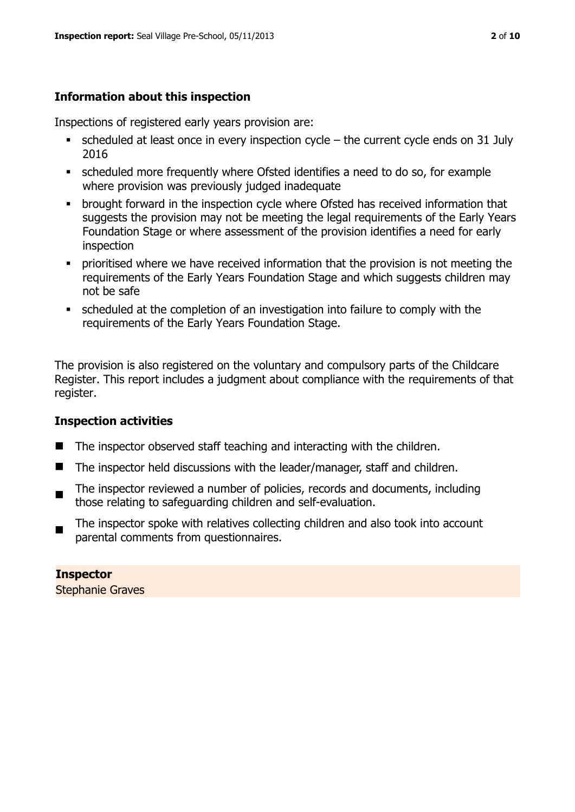# **Information about this inspection**

Inspections of registered early years provision are:

- scheduled at least once in every inspection cycle the current cycle ends on 31 July 2016
- scheduled more frequently where Ofsted identifies a need to do so, for example where provision was previously judged inadequate
- **•** brought forward in the inspection cycle where Ofsted has received information that suggests the provision may not be meeting the legal requirements of the Early Years Foundation Stage or where assessment of the provision identifies a need for early inspection
- **•** prioritised where we have received information that the provision is not meeting the requirements of the Early Years Foundation Stage and which suggests children may not be safe
- scheduled at the completion of an investigation into failure to comply with the requirements of the Early Years Foundation Stage.

The provision is also registered on the voluntary and compulsory parts of the Childcare Register. This report includes a judgment about compliance with the requirements of that register.

# **Inspection activities**

- $\blacksquare$  The inspector observed staff teaching and interacting with the children.
- The inspector held discussions with the leader/manager, staff and children.
- The inspector reviewed a number of policies, records and documents, including those relating to safeguarding children and self-evaluation.
- The inspector spoke with relatives collecting children and also took into account parental comments from questionnaires.

**Inspector**  Stephanie Graves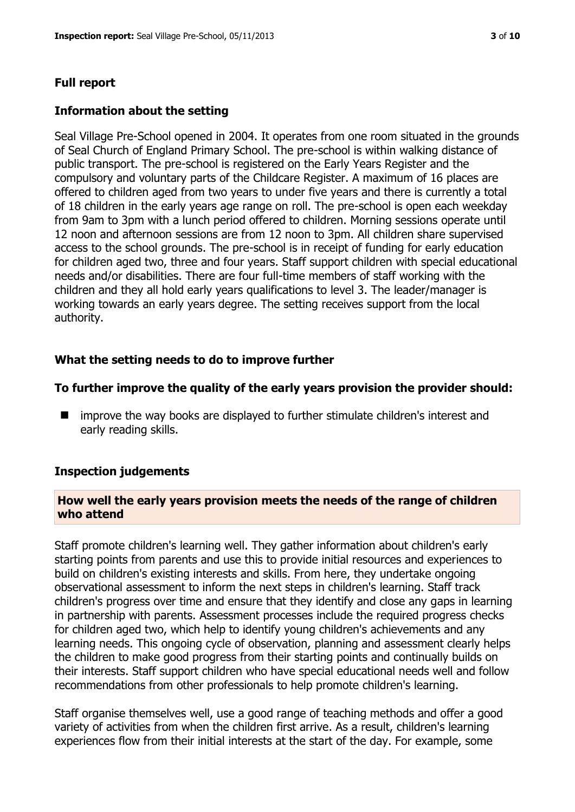# **Full report**

#### **Information about the setting**

Seal Village Pre-School opened in 2004. It operates from one room situated in the grounds of Seal Church of England Primary School. The pre-school is within walking distance of public transport. The pre-school is registered on the Early Years Register and the compulsory and voluntary parts of the Childcare Register. A maximum of 16 places are offered to children aged from two years to under five years and there is currently a total of 18 children in the early years age range on roll. The pre-school is open each weekday from 9am to 3pm with a lunch period offered to children. Morning sessions operate until 12 noon and afternoon sessions are from 12 noon to 3pm. All children share supervised access to the school grounds. The pre-school is in receipt of funding for early education for children aged two, three and four years. Staff support children with special educational needs and/or disabilities. There are four full-time members of staff working with the children and they all hold early years qualifications to level 3. The leader/manager is working towards an early years degree. The setting receives support from the local authority.

# **What the setting needs to do to improve further**

#### **To further improve the quality of the early years provision the provider should:**

**I** improve the way books are displayed to further stimulate children's interest and early reading skills.

# **Inspection judgements**

#### **How well the early years provision meets the needs of the range of children who attend**

Staff promote children's learning well. They gather information about children's early starting points from parents and use this to provide initial resources and experiences to build on children's existing interests and skills. From here, they undertake ongoing observational assessment to inform the next steps in children's learning. Staff track children's progress over time and ensure that they identify and close any gaps in learning in partnership with parents. Assessment processes include the required progress checks for children aged two, which help to identify young children's achievements and any learning needs. This ongoing cycle of observation, planning and assessment clearly helps the children to make good progress from their starting points and continually builds on their interests. Staff support children who have special educational needs well and follow recommendations from other professionals to help promote children's learning.

Staff organise themselves well, use a good range of teaching methods and offer a good variety of activities from when the children first arrive. As a result, children's learning experiences flow from their initial interests at the start of the day. For example, some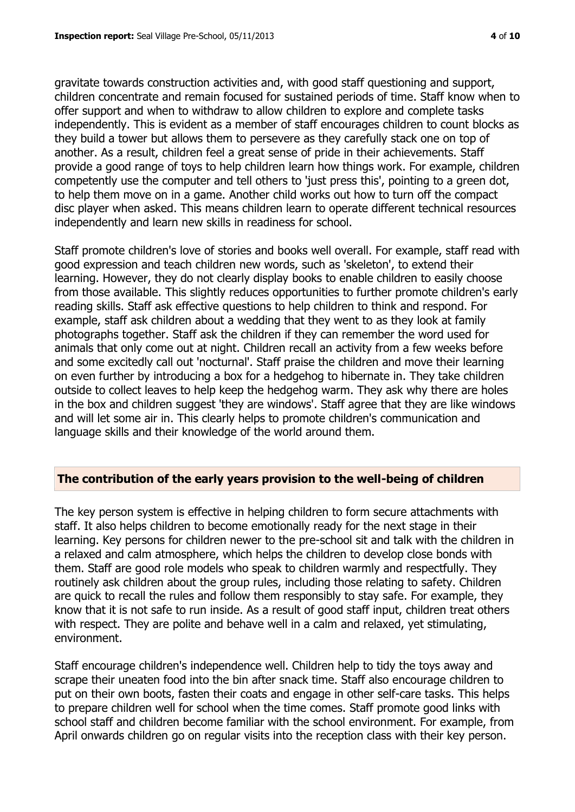gravitate towards construction activities and, with good staff questioning and support, children concentrate and remain focused for sustained periods of time. Staff know when to offer support and when to withdraw to allow children to explore and complete tasks independently. This is evident as a member of staff encourages children to count blocks as they build a tower but allows them to persevere as they carefully stack one on top of another. As a result, children feel a great sense of pride in their achievements. Staff provide a good range of toys to help children learn how things work. For example, children competently use the computer and tell others to 'just press this', pointing to a green dot, to help them move on in a game. Another child works out how to turn off the compact disc player when asked. This means children learn to operate different technical resources independently and learn new skills in readiness for school.

Staff promote children's love of stories and books well overall. For example, staff read with good expression and teach children new words, such as 'skeleton', to extend their learning. However, they do not clearly display books to enable children to easily choose from those available. This slightly reduces opportunities to further promote children's early reading skills. Staff ask effective questions to help children to think and respond. For example, staff ask children about a wedding that they went to as they look at family photographs together. Staff ask the children if they can remember the word used for animals that only come out at night. Children recall an activity from a few weeks before and some excitedly call out 'nocturnal'. Staff praise the children and move their learning on even further by introducing a box for a hedgehog to hibernate in. They take children outside to collect leaves to help keep the hedgehog warm. They ask why there are holes in the box and children suggest 'they are windows'. Staff agree that they are like windows and will let some air in. This clearly helps to promote children's communication and language skills and their knowledge of the world around them.

#### **The contribution of the early years provision to the well-being of children**

The key person system is effective in helping children to form secure attachments with staff. It also helps children to become emotionally ready for the next stage in their learning. Key persons for children newer to the pre-school sit and talk with the children in a relaxed and calm atmosphere, which helps the children to develop close bonds with them. Staff are good role models who speak to children warmly and respectfully. They routinely ask children about the group rules, including those relating to safety. Children are quick to recall the rules and follow them responsibly to stay safe. For example, they know that it is not safe to run inside. As a result of good staff input, children treat others with respect. They are polite and behave well in a calm and relaxed, yet stimulating, environment.

Staff encourage children's independence well. Children help to tidy the toys away and scrape their uneaten food into the bin after snack time. Staff also encourage children to put on their own boots, fasten their coats and engage in other self-care tasks. This helps to prepare children well for school when the time comes. Staff promote good links with school staff and children become familiar with the school environment. For example, from April onwards children go on regular visits into the reception class with their key person.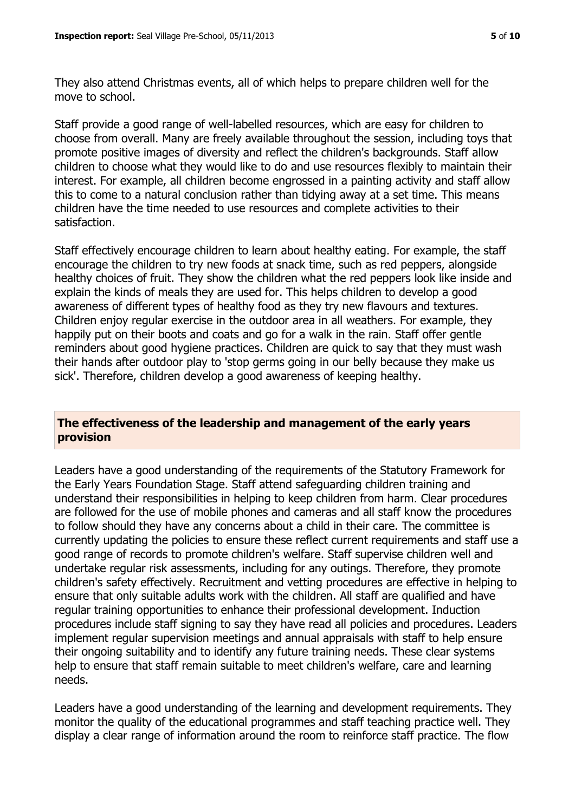They also attend Christmas events, all of which helps to prepare children well for the move to school.

Staff provide a good range of well-labelled resources, which are easy for children to choose from overall. Many are freely available throughout the session, including toys that promote positive images of diversity and reflect the children's backgrounds. Staff allow children to choose what they would like to do and use resources flexibly to maintain their interest. For example, all children become engrossed in a painting activity and staff allow this to come to a natural conclusion rather than tidying away at a set time. This means children have the time needed to use resources and complete activities to their satisfaction.

Staff effectively encourage children to learn about healthy eating. For example, the staff encourage the children to try new foods at snack time, such as red peppers, alongside healthy choices of fruit. They show the children what the red peppers look like inside and explain the kinds of meals they are used for. This helps children to develop a good awareness of different types of healthy food as they try new flavours and textures. Children enjoy regular exercise in the outdoor area in all weathers. For example, they happily put on their boots and coats and go for a walk in the rain. Staff offer gentle reminders about good hygiene practices. Children are quick to say that they must wash their hands after outdoor play to 'stop germs going in our belly because they make us sick'. Therefore, children develop a good awareness of keeping healthy.

#### **The effectiveness of the leadership and management of the early years provision**

Leaders have a good understanding of the requirements of the Statutory Framework for the Early Years Foundation Stage. Staff attend safeguarding children training and understand their responsibilities in helping to keep children from harm. Clear procedures are followed for the use of mobile phones and cameras and all staff know the procedures to follow should they have any concerns about a child in their care. The committee is currently updating the policies to ensure these reflect current requirements and staff use a good range of records to promote children's welfare. Staff supervise children well and undertake regular risk assessments, including for any outings. Therefore, they promote children's safety effectively. Recruitment and vetting procedures are effective in helping to ensure that only suitable adults work with the children. All staff are qualified and have regular training opportunities to enhance their professional development. Induction procedures include staff signing to say they have read all policies and procedures. Leaders implement regular supervision meetings and annual appraisals with staff to help ensure their ongoing suitability and to identify any future training needs. These clear systems help to ensure that staff remain suitable to meet children's welfare, care and learning needs.

Leaders have a good understanding of the learning and development requirements. They monitor the quality of the educational programmes and staff teaching practice well. They display a clear range of information around the room to reinforce staff practice. The flow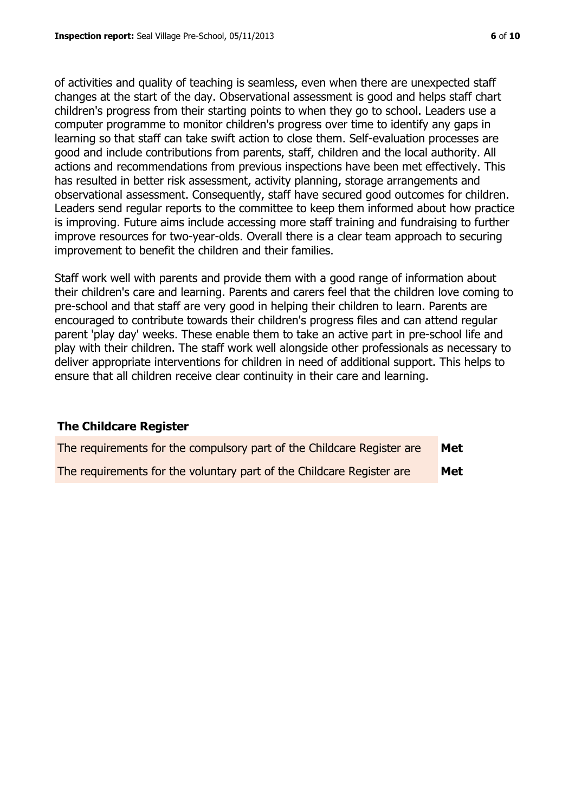of activities and quality of teaching is seamless, even when there are unexpected staff changes at the start of the day. Observational assessment is good and helps staff chart children's progress from their starting points to when they go to school. Leaders use a computer programme to monitor children's progress over time to identify any gaps in learning so that staff can take swift action to close them. Self-evaluation processes are good and include contributions from parents, staff, children and the local authority. All actions and recommendations from previous inspections have been met effectively. This has resulted in better risk assessment, activity planning, storage arrangements and observational assessment. Consequently, staff have secured good outcomes for children. Leaders send regular reports to the committee to keep them informed about how practice is improving. Future aims include accessing more staff training and fundraising to further improve resources for two-year-olds. Overall there is a clear team approach to securing improvement to benefit the children and their families.

Staff work well with parents and provide them with a good range of information about their children's care and learning. Parents and carers feel that the children love coming to pre-school and that staff are very good in helping their children to learn. Parents are encouraged to contribute towards their children's progress files and can attend regular parent 'play day' weeks. These enable them to take an active part in pre-school life and play with their children. The staff work well alongside other professionals as necessary to deliver appropriate interventions for children in need of additional support. This helps to ensure that all children receive clear continuity in their care and learning.

#### **The Childcare Register**

| The requirements for the compulsory part of the Childcare Register are | Met |
|------------------------------------------------------------------------|-----|
| The requirements for the voluntary part of the Childcare Register are  | Met |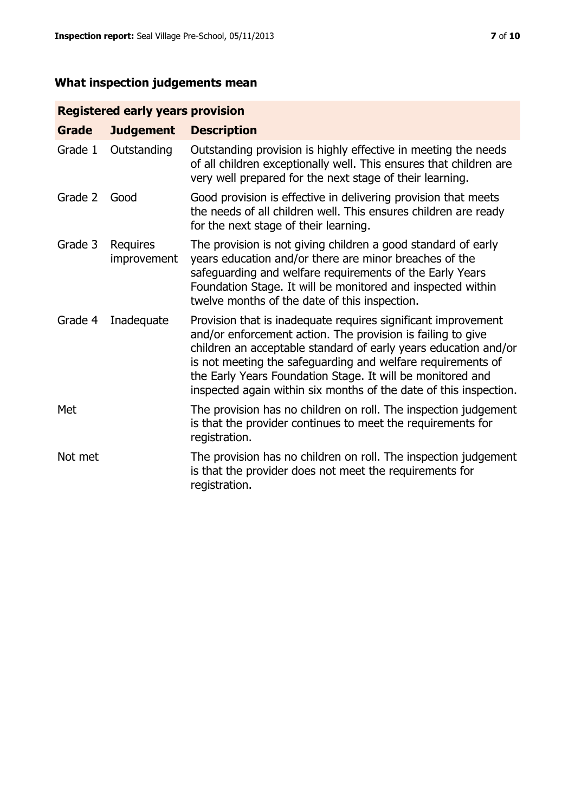# **What inspection judgements mean**

# **Registered early years provision**

| <b>Grade</b> | <b>Judgement</b>        | <b>Description</b>                                                                                                                                                                                                                                                                                                                                                                                |
|--------------|-------------------------|---------------------------------------------------------------------------------------------------------------------------------------------------------------------------------------------------------------------------------------------------------------------------------------------------------------------------------------------------------------------------------------------------|
| Grade 1      | Outstanding             | Outstanding provision is highly effective in meeting the needs<br>of all children exceptionally well. This ensures that children are<br>very well prepared for the next stage of their learning.                                                                                                                                                                                                  |
| Grade 2      | Good                    | Good provision is effective in delivering provision that meets<br>the needs of all children well. This ensures children are ready<br>for the next stage of their learning.                                                                                                                                                                                                                        |
| Grade 3      | Requires<br>improvement | The provision is not giving children a good standard of early<br>years education and/or there are minor breaches of the<br>safeguarding and welfare requirements of the Early Years<br>Foundation Stage. It will be monitored and inspected within<br>twelve months of the date of this inspection.                                                                                               |
| Grade 4      | Inadequate              | Provision that is inadequate requires significant improvement<br>and/or enforcement action. The provision is failing to give<br>children an acceptable standard of early years education and/or<br>is not meeting the safeguarding and welfare requirements of<br>the Early Years Foundation Stage. It will be monitored and<br>inspected again within six months of the date of this inspection. |
| Met          |                         | The provision has no children on roll. The inspection judgement<br>is that the provider continues to meet the requirements for<br>registration.                                                                                                                                                                                                                                                   |
| Not met      |                         | The provision has no children on roll. The inspection judgement<br>is that the provider does not meet the requirements for<br>registration.                                                                                                                                                                                                                                                       |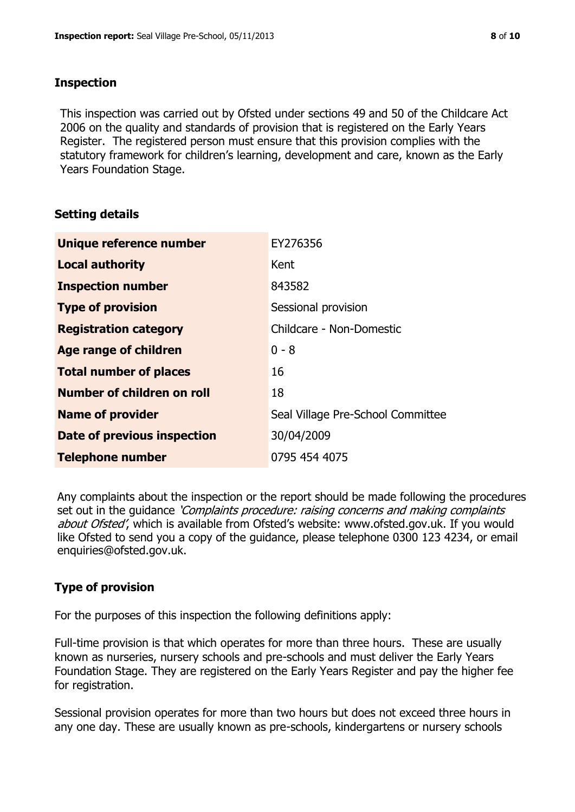#### **Inspection**

This inspection was carried out by Ofsted under sections 49 and 50 of the Childcare Act 2006 on the quality and standards of provision that is registered on the Early Years Register. The registered person must ensure that this provision complies with the statutory framework for children's learning, development and care, known as the Early Years Foundation Stage.

# **Setting details**

| Unique reference number       | EY276356                          |
|-------------------------------|-----------------------------------|
| <b>Local authority</b>        | Kent                              |
| <b>Inspection number</b>      | 843582                            |
| <b>Type of provision</b>      | Sessional provision               |
| <b>Registration category</b>  | Childcare - Non-Domestic          |
| Age range of children         | $0 - 8$                           |
| <b>Total number of places</b> | 16                                |
| Number of children on roll    | 18                                |
| <b>Name of provider</b>       | Seal Village Pre-School Committee |
| Date of previous inspection   | 30/04/2009                        |
| <b>Telephone number</b>       | 0795 454 4075                     |

Any complaints about the inspection or the report should be made following the procedures set out in the guidance *'Complaints procedure: raising concerns and making complaints* about Ofsted', which is available from Ofsted's website: www.ofsted.gov.uk. If you would like Ofsted to send you a copy of the guidance, please telephone 0300 123 4234, or email enquiries@ofsted.gov.uk.

# **Type of provision**

For the purposes of this inspection the following definitions apply:

Full-time provision is that which operates for more than three hours. These are usually known as nurseries, nursery schools and pre-schools and must deliver the Early Years Foundation Stage. They are registered on the Early Years Register and pay the higher fee for registration.

Sessional provision operates for more than two hours but does not exceed three hours in any one day. These are usually known as pre-schools, kindergartens or nursery schools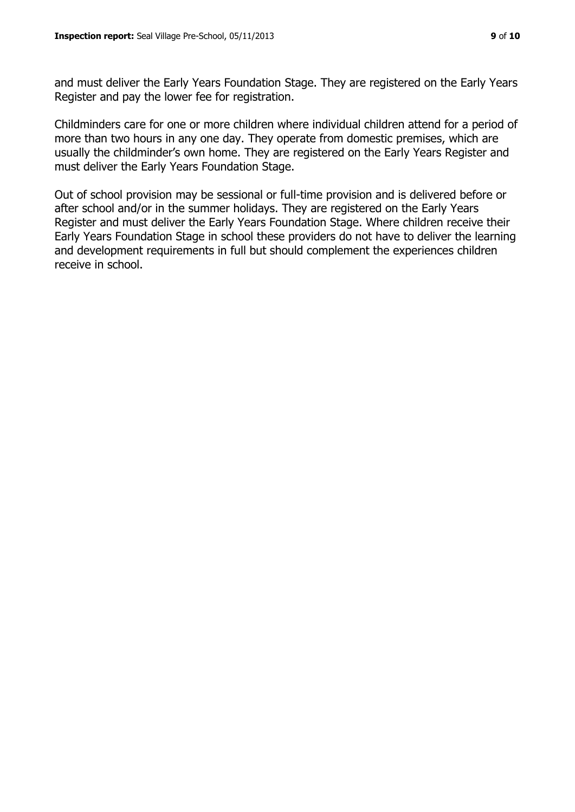and must deliver the Early Years Foundation Stage. They are registered on the Early Years Register and pay the lower fee for registration.

Childminders care for one or more children where individual children attend for a period of more than two hours in any one day. They operate from domestic premises, which are usually the childminder's own home. They are registered on the Early Years Register and must deliver the Early Years Foundation Stage.

Out of school provision may be sessional or full-time provision and is delivered before or after school and/or in the summer holidays. They are registered on the Early Years Register and must deliver the Early Years Foundation Stage. Where children receive their Early Years Foundation Stage in school these providers do not have to deliver the learning and development requirements in full but should complement the experiences children receive in school.